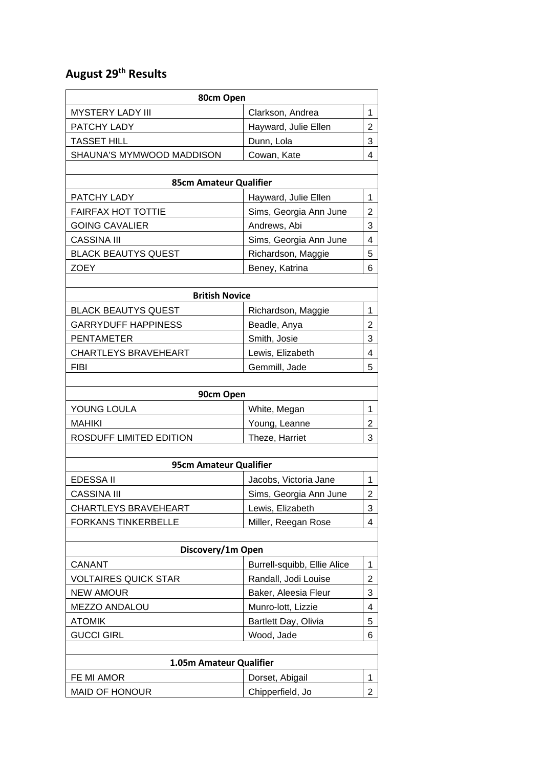## **August 29th Results**

| <b>MYSTERY LADY III</b><br>Clarkson, Andrea<br>1<br>Hayward, Julie Ellen<br>$\overline{2}$<br>PATCHY LADY<br>3<br><b>TASSET HILL</b><br>Dunn, Lola<br>4<br>Cowan, Kate<br>SHAUNA'S MYMWOOD MADDISON<br>85cm Amateur Qualifier<br>PATCHY LADY<br>Hayward, Julie Ellen<br>1<br>$\overline{2}$<br><b>FAIRFAX HOT TOTTIE</b><br>Sims, Georgia Ann June<br>Andrews, Abi<br>3<br><b>GOING CAVALIER</b><br><b>CASSINA III</b><br>Sims, Georgia Ann June<br>4<br>5<br><b>BLACK BEAUTYS QUEST</b><br>Richardson, Maggie<br><b>ZOEY</b><br>Beney, Katrina<br>6<br><b>British Novice</b><br><b>BLACK BEAUTYS QUEST</b><br>Richardson, Maggie<br>1<br>$\overline{2}$<br><b>GARRYDUFF HAPPINESS</b><br>Beadle, Anya<br>3<br><b>PENTAMETER</b><br>Smith, Josie<br><b>CHARTLEYS BRAVEHEART</b><br>Lewis, Elizabeth<br>4<br><b>FIBI</b><br>Gemmill, Jade<br>5<br>90cm Open<br>YOUNG LOULA<br>White, Megan<br>1<br><b>MAHIKI</b><br>Young, Leanne<br>$\overline{2}$<br>3<br>ROSDUFF LIMITED EDITION<br>Theze, Harriet<br>95cm Amateur Qualifier<br><b>EDESSA II</b><br>Jacobs, Victoria Jane<br>1<br><b>CASSINA III</b><br>Sims, Georgia Ann June<br>$\overline{2}$<br>CHARTLEYS BRAVEHEART<br>Lewis, Elizabeth<br>3<br><b>FORKANS TINKERBELLE</b><br>Miller, Reegan Rose<br>4<br>Discovery/1m Open<br><b>CANANT</b><br>Burrell-squibb, Ellie Alice<br>1<br><b>VOLTAIRES QUICK STAR</b><br>Randall, Jodi Louise<br>2<br><b>NEW AMOUR</b><br>Baker, Aleesia Fleur<br>3<br>MEZZO ANDALOU<br>Munro-lott, Lizzie<br>4<br>5<br><b>ATOMIK</b><br>Bartlett Day, Olivia<br>Wood, Jade<br><b>GUCCI GIRL</b><br>6<br>1.05m Amateur Qualifier<br>FE MI AMOR<br>Dorset, Abigail<br>1<br><b>MAID OF HONOUR</b><br>Chipperfield, Jo<br>$\overline{2}$ | 80cm Open |  |  |  |  |
|------------------------------------------------------------------------------------------------------------------------------------------------------------------------------------------------------------------------------------------------------------------------------------------------------------------------------------------------------------------------------------------------------------------------------------------------------------------------------------------------------------------------------------------------------------------------------------------------------------------------------------------------------------------------------------------------------------------------------------------------------------------------------------------------------------------------------------------------------------------------------------------------------------------------------------------------------------------------------------------------------------------------------------------------------------------------------------------------------------------------------------------------------------------------------------------------------------------------------------------------------------------------------------------------------------------------------------------------------------------------------------------------------------------------------------------------------------------------------------------------------------------------------------------------------------------------------------------------------------------------------------------------------------------------------------------------------------------------|-----------|--|--|--|--|
|                                                                                                                                                                                                                                                                                                                                                                                                                                                                                                                                                                                                                                                                                                                                                                                                                                                                                                                                                                                                                                                                                                                                                                                                                                                                                                                                                                                                                                                                                                                                                                                                                                                                                                                        |           |  |  |  |  |
|                                                                                                                                                                                                                                                                                                                                                                                                                                                                                                                                                                                                                                                                                                                                                                                                                                                                                                                                                                                                                                                                                                                                                                                                                                                                                                                                                                                                                                                                                                                                                                                                                                                                                                                        |           |  |  |  |  |
|                                                                                                                                                                                                                                                                                                                                                                                                                                                                                                                                                                                                                                                                                                                                                                                                                                                                                                                                                                                                                                                                                                                                                                                                                                                                                                                                                                                                                                                                                                                                                                                                                                                                                                                        |           |  |  |  |  |
|                                                                                                                                                                                                                                                                                                                                                                                                                                                                                                                                                                                                                                                                                                                                                                                                                                                                                                                                                                                                                                                                                                                                                                                                                                                                                                                                                                                                                                                                                                                                                                                                                                                                                                                        |           |  |  |  |  |
|                                                                                                                                                                                                                                                                                                                                                                                                                                                                                                                                                                                                                                                                                                                                                                                                                                                                                                                                                                                                                                                                                                                                                                                                                                                                                                                                                                                                                                                                                                                                                                                                                                                                                                                        |           |  |  |  |  |
|                                                                                                                                                                                                                                                                                                                                                                                                                                                                                                                                                                                                                                                                                                                                                                                                                                                                                                                                                                                                                                                                                                                                                                                                                                                                                                                                                                                                                                                                                                                                                                                                                                                                                                                        |           |  |  |  |  |
|                                                                                                                                                                                                                                                                                                                                                                                                                                                                                                                                                                                                                                                                                                                                                                                                                                                                                                                                                                                                                                                                                                                                                                                                                                                                                                                                                                                                                                                                                                                                                                                                                                                                                                                        |           |  |  |  |  |
|                                                                                                                                                                                                                                                                                                                                                                                                                                                                                                                                                                                                                                                                                                                                                                                                                                                                                                                                                                                                                                                                                                                                                                                                                                                                                                                                                                                                                                                                                                                                                                                                                                                                                                                        |           |  |  |  |  |
|                                                                                                                                                                                                                                                                                                                                                                                                                                                                                                                                                                                                                                                                                                                                                                                                                                                                                                                                                                                                                                                                                                                                                                                                                                                                                                                                                                                                                                                                                                                                                                                                                                                                                                                        |           |  |  |  |  |
|                                                                                                                                                                                                                                                                                                                                                                                                                                                                                                                                                                                                                                                                                                                                                                                                                                                                                                                                                                                                                                                                                                                                                                                                                                                                                                                                                                                                                                                                                                                                                                                                                                                                                                                        |           |  |  |  |  |
|                                                                                                                                                                                                                                                                                                                                                                                                                                                                                                                                                                                                                                                                                                                                                                                                                                                                                                                                                                                                                                                                                                                                                                                                                                                                                                                                                                                                                                                                                                                                                                                                                                                                                                                        |           |  |  |  |  |
|                                                                                                                                                                                                                                                                                                                                                                                                                                                                                                                                                                                                                                                                                                                                                                                                                                                                                                                                                                                                                                                                                                                                                                                                                                                                                                                                                                                                                                                                                                                                                                                                                                                                                                                        |           |  |  |  |  |
|                                                                                                                                                                                                                                                                                                                                                                                                                                                                                                                                                                                                                                                                                                                                                                                                                                                                                                                                                                                                                                                                                                                                                                                                                                                                                                                                                                                                                                                                                                                                                                                                                                                                                                                        |           |  |  |  |  |
|                                                                                                                                                                                                                                                                                                                                                                                                                                                                                                                                                                                                                                                                                                                                                                                                                                                                                                                                                                                                                                                                                                                                                                                                                                                                                                                                                                                                                                                                                                                                                                                                                                                                                                                        |           |  |  |  |  |
|                                                                                                                                                                                                                                                                                                                                                                                                                                                                                                                                                                                                                                                                                                                                                                                                                                                                                                                                                                                                                                                                                                                                                                                                                                                                                                                                                                                                                                                                                                                                                                                                                                                                                                                        |           |  |  |  |  |
|                                                                                                                                                                                                                                                                                                                                                                                                                                                                                                                                                                                                                                                                                                                                                                                                                                                                                                                                                                                                                                                                                                                                                                                                                                                                                                                                                                                                                                                                                                                                                                                                                                                                                                                        |           |  |  |  |  |
|                                                                                                                                                                                                                                                                                                                                                                                                                                                                                                                                                                                                                                                                                                                                                                                                                                                                                                                                                                                                                                                                                                                                                                                                                                                                                                                                                                                                                                                                                                                                                                                                                                                                                                                        |           |  |  |  |  |
|                                                                                                                                                                                                                                                                                                                                                                                                                                                                                                                                                                                                                                                                                                                                                                                                                                                                                                                                                                                                                                                                                                                                                                                                                                                                                                                                                                                                                                                                                                                                                                                                                                                                                                                        |           |  |  |  |  |
|                                                                                                                                                                                                                                                                                                                                                                                                                                                                                                                                                                                                                                                                                                                                                                                                                                                                                                                                                                                                                                                                                                                                                                                                                                                                                                                                                                                                                                                                                                                                                                                                                                                                                                                        |           |  |  |  |  |
|                                                                                                                                                                                                                                                                                                                                                                                                                                                                                                                                                                                                                                                                                                                                                                                                                                                                                                                                                                                                                                                                                                                                                                                                                                                                                                                                                                                                                                                                                                                                                                                                                                                                                                                        |           |  |  |  |  |
|                                                                                                                                                                                                                                                                                                                                                                                                                                                                                                                                                                                                                                                                                                                                                                                                                                                                                                                                                                                                                                                                                                                                                                                                                                                                                                                                                                                                                                                                                                                                                                                                                                                                                                                        |           |  |  |  |  |
|                                                                                                                                                                                                                                                                                                                                                                                                                                                                                                                                                                                                                                                                                                                                                                                                                                                                                                                                                                                                                                                                                                                                                                                                                                                                                                                                                                                                                                                                                                                                                                                                                                                                                                                        |           |  |  |  |  |
|                                                                                                                                                                                                                                                                                                                                                                                                                                                                                                                                                                                                                                                                                                                                                                                                                                                                                                                                                                                                                                                                                                                                                                                                                                                                                                                                                                                                                                                                                                                                                                                                                                                                                                                        |           |  |  |  |  |
|                                                                                                                                                                                                                                                                                                                                                                                                                                                                                                                                                                                                                                                                                                                                                                                                                                                                                                                                                                                                                                                                                                                                                                                                                                                                                                                                                                                                                                                                                                                                                                                                                                                                                                                        |           |  |  |  |  |
|                                                                                                                                                                                                                                                                                                                                                                                                                                                                                                                                                                                                                                                                                                                                                                                                                                                                                                                                                                                                                                                                                                                                                                                                                                                                                                                                                                                                                                                                                                                                                                                                                                                                                                                        |           |  |  |  |  |
|                                                                                                                                                                                                                                                                                                                                                                                                                                                                                                                                                                                                                                                                                                                                                                                                                                                                                                                                                                                                                                                                                                                                                                                                                                                                                                                                                                                                                                                                                                                                                                                                                                                                                                                        |           |  |  |  |  |
|                                                                                                                                                                                                                                                                                                                                                                                                                                                                                                                                                                                                                                                                                                                                                                                                                                                                                                                                                                                                                                                                                                                                                                                                                                                                                                                                                                                                                                                                                                                                                                                                                                                                                                                        |           |  |  |  |  |
|                                                                                                                                                                                                                                                                                                                                                                                                                                                                                                                                                                                                                                                                                                                                                                                                                                                                                                                                                                                                                                                                                                                                                                                                                                                                                                                                                                                                                                                                                                                                                                                                                                                                                                                        |           |  |  |  |  |
|                                                                                                                                                                                                                                                                                                                                                                                                                                                                                                                                                                                                                                                                                                                                                                                                                                                                                                                                                                                                                                                                                                                                                                                                                                                                                                                                                                                                                                                                                                                                                                                                                                                                                                                        |           |  |  |  |  |
|                                                                                                                                                                                                                                                                                                                                                                                                                                                                                                                                                                                                                                                                                                                                                                                                                                                                                                                                                                                                                                                                                                                                                                                                                                                                                                                                                                                                                                                                                                                                                                                                                                                                                                                        |           |  |  |  |  |
|                                                                                                                                                                                                                                                                                                                                                                                                                                                                                                                                                                                                                                                                                                                                                                                                                                                                                                                                                                                                                                                                                                                                                                                                                                                                                                                                                                                                                                                                                                                                                                                                                                                                                                                        |           |  |  |  |  |
|                                                                                                                                                                                                                                                                                                                                                                                                                                                                                                                                                                                                                                                                                                                                                                                                                                                                                                                                                                                                                                                                                                                                                                                                                                                                                                                                                                                                                                                                                                                                                                                                                                                                                                                        |           |  |  |  |  |
|                                                                                                                                                                                                                                                                                                                                                                                                                                                                                                                                                                                                                                                                                                                                                                                                                                                                                                                                                                                                                                                                                                                                                                                                                                                                                                                                                                                                                                                                                                                                                                                                                                                                                                                        |           |  |  |  |  |
|                                                                                                                                                                                                                                                                                                                                                                                                                                                                                                                                                                                                                                                                                                                                                                                                                                                                                                                                                                                                                                                                                                                                                                                                                                                                                                                                                                                                                                                                                                                                                                                                                                                                                                                        |           |  |  |  |  |
|                                                                                                                                                                                                                                                                                                                                                                                                                                                                                                                                                                                                                                                                                                                                                                                                                                                                                                                                                                                                                                                                                                                                                                                                                                                                                                                                                                                                                                                                                                                                                                                                                                                                                                                        |           |  |  |  |  |
|                                                                                                                                                                                                                                                                                                                                                                                                                                                                                                                                                                                                                                                                                                                                                                                                                                                                                                                                                                                                                                                                                                                                                                                                                                                                                                                                                                                                                                                                                                                                                                                                                                                                                                                        |           |  |  |  |  |
|                                                                                                                                                                                                                                                                                                                                                                                                                                                                                                                                                                                                                                                                                                                                                                                                                                                                                                                                                                                                                                                                                                                                                                                                                                                                                                                                                                                                                                                                                                                                                                                                                                                                                                                        |           |  |  |  |  |
|                                                                                                                                                                                                                                                                                                                                                                                                                                                                                                                                                                                                                                                                                                                                                                                                                                                                                                                                                                                                                                                                                                                                                                                                                                                                                                                                                                                                                                                                                                                                                                                                                                                                                                                        |           |  |  |  |  |
|                                                                                                                                                                                                                                                                                                                                                                                                                                                                                                                                                                                                                                                                                                                                                                                                                                                                                                                                                                                                                                                                                                                                                                                                                                                                                                                                                                                                                                                                                                                                                                                                                                                                                                                        |           |  |  |  |  |
|                                                                                                                                                                                                                                                                                                                                                                                                                                                                                                                                                                                                                                                                                                                                                                                                                                                                                                                                                                                                                                                                                                                                                                                                                                                                                                                                                                                                                                                                                                                                                                                                                                                                                                                        |           |  |  |  |  |
|                                                                                                                                                                                                                                                                                                                                                                                                                                                                                                                                                                                                                                                                                                                                                                                                                                                                                                                                                                                                                                                                                                                                                                                                                                                                                                                                                                                                                                                                                                                                                                                                                                                                                                                        |           |  |  |  |  |